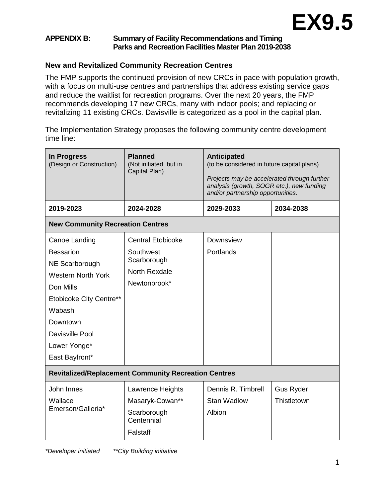#### **APPENDIX B: Summary of Facility Recommendations and Timing Parks and Recreation Facilities Master Plan 2019-2038**

#### **New and Revitalized Community Recreation Centres**

The FMP supports the continued provision of new CRCs in pace with population growth, with a focus on multi-use centres and partnerships that address existing service gaps and reduce the waitlist for recreation programs. Over the next 20 years, the FMP recommends developing 17 new CRCs, many with indoor pools; and replacing or revitalizing 11 existing CRCs. Davisville is categorized as a pool in the capital plan.

The Implementation Strategy proposes the following community centre development time line:

| In Progress<br>(Design or Construction)                                                                                                                                                                           | <b>Planned</b><br>(Not initiated, but in<br>Capital Plan)                                    | <b>Anticipated</b><br>(to be considered in future capital plans)<br>Projects may be accelerated through further<br>analysis (growth, SOGR etc.), new funding<br>and/or partnership opportunities. |                                 |  |  |
|-------------------------------------------------------------------------------------------------------------------------------------------------------------------------------------------------------------------|----------------------------------------------------------------------------------------------|---------------------------------------------------------------------------------------------------------------------------------------------------------------------------------------------------|---------------------------------|--|--|
| 2019-2023                                                                                                                                                                                                         | 2024-2028                                                                                    | 2029-2033                                                                                                                                                                                         | 2034-2038                       |  |  |
| <b>New Community Recreation Centres</b>                                                                                                                                                                           |                                                                                              |                                                                                                                                                                                                   |                                 |  |  |
| Canoe Landing<br><b>Bessarion</b><br>NE Scarborough<br><b>Western North York</b><br>Don Mills<br><b>Etobicoke City Centre**</b><br>Wabash<br>Downtown<br><b>Davisville Pool</b><br>Lower Yonge*<br>East Bayfront* | <b>Central Etobicoke</b><br>Southwest<br>Scarborough<br><b>North Rexdale</b><br>Newtonbrook* | <b>Downsview</b><br>Portlands                                                                                                                                                                     |                                 |  |  |
|                                                                                                                                                                                                                   | <b>Revitalized/Replacement Community Recreation Centres</b>                                  |                                                                                                                                                                                                   |                                 |  |  |
| John Innes<br>Wallace<br>Emerson/Galleria*                                                                                                                                                                        | Lawrence Heights<br>Masaryk-Cowan**<br>Scarborough<br>Centennial<br>Falstaff                 | Dennis R. Timbrell<br><b>Stan Wadlow</b><br>Albion                                                                                                                                                | <b>Gus Ryder</b><br>Thistletown |  |  |

*\*Developer initiated \*\*City Building initiative*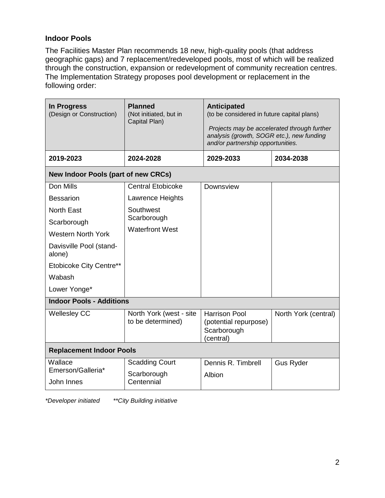## **Indoor Pools**

The Facilities Master Plan recommends 18 new, high-quality pools (that address geographic gaps) and 7 replacement/redeveloped pools, most of which will be realized through the construction, expansion or redevelopment of community recreation centres. The Implementation Strategy proposes pool development or replacement in the following order:

| In Progress<br>(Design or Construction)    | <b>Planned</b><br>(Not initiated, but in<br>Capital Plan) | <b>Anticipated</b><br>(to be considered in future capital plans)                                                              |                      |  |
|--------------------------------------------|-----------------------------------------------------------|-------------------------------------------------------------------------------------------------------------------------------|----------------------|--|
|                                            |                                                           | Projects may be accelerated through further<br>analysis (growth, SOGR etc.), new funding<br>and/or partnership opportunities. |                      |  |
| 2019-2023                                  | 2024-2028                                                 | 2029-2033                                                                                                                     | 2034-2038            |  |
| <b>New Indoor Pools (part of new CRCs)</b> |                                                           |                                                                                                                               |                      |  |
| Don Mills                                  | <b>Central Etobicoke</b>                                  | Downsview                                                                                                                     |                      |  |
| <b>Bessarion</b>                           | Lawrence Heights                                          |                                                                                                                               |                      |  |
| <b>North East</b>                          | Southwest                                                 |                                                                                                                               |                      |  |
| Scarborough                                | Scarborough                                               |                                                                                                                               |                      |  |
| <b>Western North York</b>                  | <b>Waterfront West</b>                                    |                                                                                                                               |                      |  |
| Davisville Pool (stand-<br>alone)          |                                                           |                                                                                                                               |                      |  |
| <b>Etobicoke City Centre**</b>             |                                                           |                                                                                                                               |                      |  |
| Wabash                                     |                                                           |                                                                                                                               |                      |  |
| Lower Yonge*                               |                                                           |                                                                                                                               |                      |  |
| <b>Indoor Pools - Additions</b>            |                                                           |                                                                                                                               |                      |  |
| <b>Wellesley CC</b>                        | North York (west - site<br>to be determined)              | <b>Harrison Pool</b><br>(potential repurpose)<br>Scarborough<br>(central)                                                     | North York (central) |  |
| <b>Replacement Indoor Pools</b>            |                                                           |                                                                                                                               |                      |  |
| Wallace<br>Emerson/Galleria*               | <b>Scadding Court</b>                                     | Dennis R. Timbrell                                                                                                            | <b>Gus Ryder</b>     |  |
| John Innes                                 | Scarborough<br>Centennial                                 | Albion                                                                                                                        |                      |  |
|                                            |                                                           |                                                                                                                               |                      |  |

*\*Developer initiated \*\*City Building initiative*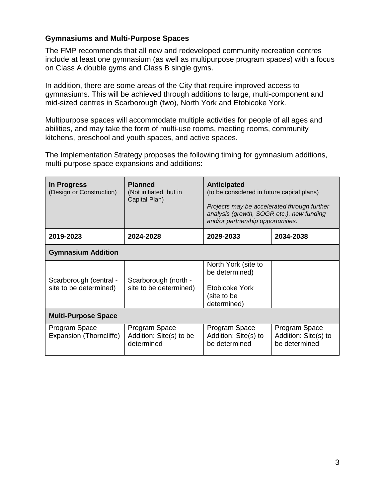## **Gymnasiums and Multi-Purpose Spaces**

The FMP recommends that all new and redeveloped community recreation centres include at least one gymnasium (as well as multipurpose program spaces) with a focus on Class A double gyms and Class B single gyms.

In addition, there are some areas of the City that require improved access to gymnasiums. This will be achieved through additions to large, multi-component and mid-sized centres in Scarborough (two), North York and Etobicoke York.

Multipurpose spaces will accommodate multiple activities for people of all ages and abilities, and may take the form of multi-use rooms, meeting rooms, community kitchens, preschool and youth spaces, and active spaces.

The Implementation Strategy proposes the following timing for gymnasium additions, multi-purpose space expansions and additions:

| In Progress<br>(Design or Construction)          | <b>Planned</b><br>(Not initiated, but in<br>Capital Plan) | <b>Anticipated</b><br>(to be considered in future capital plans)<br>Projects may be accelerated through further<br>analysis (growth, SOGR etc.), new funding<br>and/or partnership opportunities. |                                                        |  |
|--------------------------------------------------|-----------------------------------------------------------|---------------------------------------------------------------------------------------------------------------------------------------------------------------------------------------------------|--------------------------------------------------------|--|
| 2019-2023                                        | 2024-2028                                                 | 2029-2033                                                                                                                                                                                         | 2034-2038                                              |  |
| <b>Gymnasium Addition</b>                        |                                                           |                                                                                                                                                                                                   |                                                        |  |
| Scarborough (central -<br>site to be determined) | Scarborough (north -<br>site to be determined)            | North York (site to<br>be determined)<br>Etobicoke York<br>(site to be<br>determined)                                                                                                             |                                                        |  |
| <b>Multi-Purpose Space</b>                       |                                                           |                                                                                                                                                                                                   |                                                        |  |
| Program Space<br>Expansion (Thorncliffe)         | Program Space<br>Addition: Site(s) to be<br>determined    | Program Space<br>Addition: Site(s) to<br>be determined                                                                                                                                            | Program Space<br>Addition: Site(s) to<br>be determined |  |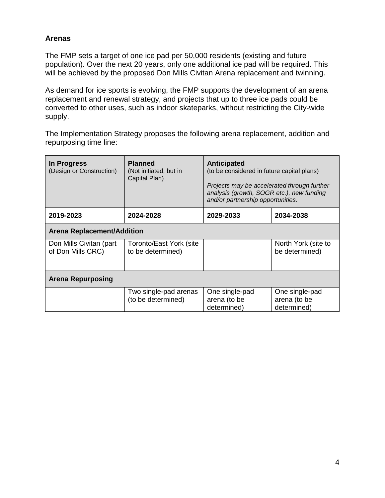## **Arenas**

The FMP sets a target of one ice pad per 50,000 residents (existing and future population). Over the next 20 years, only one additional ice pad will be required. This will be achieved by the proposed Don Mills Civitan Arena replacement and twinning.

As demand for ice sports is evolving, the FMP supports the development of an arena replacement and renewal strategy, and projects that up to three ice pads could be converted to other uses, such as indoor skateparks, without restricting the City-wide supply.

The Implementation Strategy proposes the following arena replacement, addition and repurposing time line:

| In Progress<br>(Design or Construction)      | <b>Planned</b><br>(Not initiated, but in<br>Capital Plan) | <b>Anticipated</b><br>(to be considered in future capital plans)<br>Projects may be accelerated through further<br>analysis (growth, SOGR etc.), new funding<br>and/or partnership opportunities. |                                               |  |
|----------------------------------------------|-----------------------------------------------------------|---------------------------------------------------------------------------------------------------------------------------------------------------------------------------------------------------|-----------------------------------------------|--|
| 2019-2023                                    | 2024-2028                                                 | 2029-2033                                                                                                                                                                                         | 2034-2038                                     |  |
| <b>Arena Replacement/Addition</b>            |                                                           |                                                                                                                                                                                                   |                                               |  |
| Don Mills Civitan (part<br>of Don Mills CRC) | Toronto/East York (site<br>to be determined)              |                                                                                                                                                                                                   | North York (site to<br>be determined)         |  |
| <b>Arena Repurposing</b>                     |                                                           |                                                                                                                                                                                                   |                                               |  |
|                                              | Two single-pad arenas<br>(to be determined)               | One single-pad<br>arena (to be<br>determined)                                                                                                                                                     | One single-pad<br>arena (to be<br>determined) |  |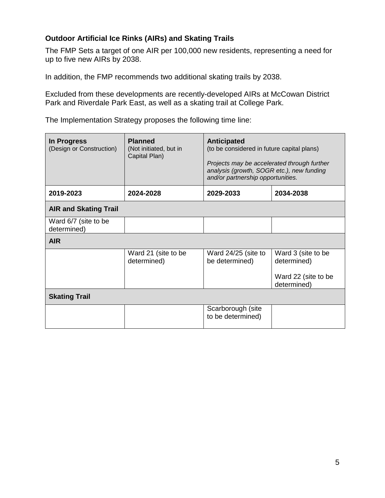# **Outdoor Artificial Ice Rinks (AIRs) and Skating Trails**

The FMP Sets a target of one AIR per 100,000 new residents, representing a need for up to five new AIRs by 2038.

In addition, the FMP recommends two additional skating trails by 2038.

Excluded from these developments are recently-developed AIRs at McCowan District Park and Riverdale Park East, as well as a skating trail at College Park.

| In Progress<br>(Design or Construction) | <b>Planned</b><br>(Not initiated, but in<br>Capital Plan) | <b>Anticipated</b><br>(to be considered in future capital plans)<br>Projects may be accelerated through further<br>analysis (growth, SOGR etc.), new funding<br>and/or partnership opportunities. |                                                                         |
|-----------------------------------------|-----------------------------------------------------------|---------------------------------------------------------------------------------------------------------------------------------------------------------------------------------------------------|-------------------------------------------------------------------------|
| 2019-2023                               | 2024-2028                                                 | 2029-2033                                                                                                                                                                                         | 2034-2038                                                               |
| <b>AIR and Skating Trail</b>            |                                                           |                                                                                                                                                                                                   |                                                                         |
| Ward 6/7 (site to be<br>determined)     |                                                           |                                                                                                                                                                                                   |                                                                         |
| <b>AIR</b>                              |                                                           |                                                                                                                                                                                                   |                                                                         |
|                                         | Ward 21 (site to be<br>determined)                        | Ward 24/25 (site to<br>be determined)                                                                                                                                                             | Ward 3 (site to be<br>determined)<br>Ward 22 (site to be<br>determined) |
| <b>Skating Trail</b>                    |                                                           |                                                                                                                                                                                                   |                                                                         |
|                                         |                                                           | Scarborough (site<br>to be determined)                                                                                                                                                            |                                                                         |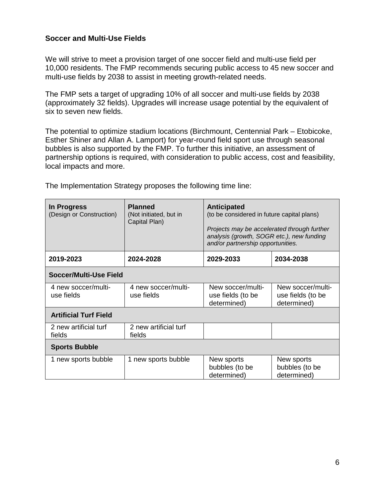#### **Soccer and Multi-Use Fields**

We will strive to meet a provision target of one soccer field and multi-use field per 10,000 residents. The FMP recommends securing public access to 45 new soccer and multi-use fields by 2038 to assist in meeting growth-related needs.

The FMP sets a target of upgrading 10% of all soccer and multi-use fields by 2038 (approximately 32 fields). Upgrades will increase usage potential by the equivalent of six to seven new fields.

The potential to optimize stadium locations (Birchmount, Centennial Park – Etobicoke, Esther Shiner and Allan A. Lamport) for year-round field sport use through seasonal bubbles is also supported by the FMP. To further this initiative, an assessment of partnership options is required, with consideration to public access, cost and feasibility, local impacts and more.

| In Progress<br>(Design or Construction) | <b>Planned</b><br>(Not initiated, but in<br>Capital Plan) | <b>Anticipated</b><br>(to be considered in future capital plans)<br>Projects may be accelerated through further<br>analysis (growth, SOGR etc.), new funding<br>and/or partnership opportunities. |                                                       |  |
|-----------------------------------------|-----------------------------------------------------------|---------------------------------------------------------------------------------------------------------------------------------------------------------------------------------------------------|-------------------------------------------------------|--|
| 2019-2023                               | 2024-2028                                                 | 2029-2033                                                                                                                                                                                         | 2034-2038                                             |  |
| Soccer/Multi-Use Field                  |                                                           |                                                                                                                                                                                                   |                                                       |  |
| 4 new soccer/multi-<br>use fields       | 4 new soccer/multi-<br>use fields                         | New soccer/multi-<br>use fields (to be<br>determined)                                                                                                                                             | New soccer/multi-<br>use fields (to be<br>determined) |  |
| <b>Artificial Turf Field</b>            |                                                           |                                                                                                                                                                                                   |                                                       |  |
| 2 new artificial turf<br>fields         | 2 new artificial turf<br>fields                           |                                                                                                                                                                                                   |                                                       |  |
| <b>Sports Bubble</b>                    |                                                           |                                                                                                                                                                                                   |                                                       |  |
| 1 new sports bubble                     | 1 new sports bubble                                       | New sports<br>bubbles (to be<br>determined)                                                                                                                                                       | New sports<br>bubbles (to be<br>determined)           |  |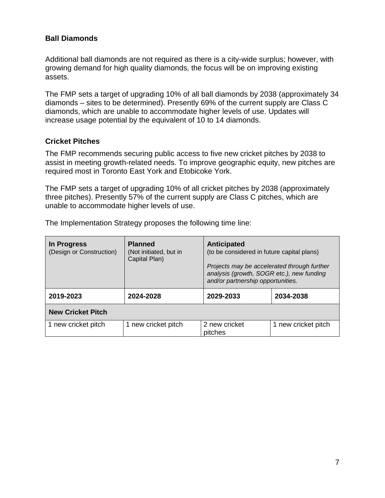### **Ball Diamonds**

Additional ball diamonds are not required as there is a city-wide surplus; however, with growing demand for high quality diamonds, the focus will be on improving existing assets.

The FMP sets a target of upgrading 10% of all ball diamonds by 2038 (approximately 34 diamonds – sites to be determined). Presently 69% of the current supply are Class C diamonds, which are unable to accommodate higher levels of use. Updates will increase usage potential by the equivalent of 10 to 14 diamonds.

#### **Cricket Pitches**

The FMP recommends securing public access to five new cricket pitches by 2038 to assist in meeting growth-related needs. To improve geographic equity, new pitches are required most in Toronto East York and Etobicoke York.

The FMP sets a target of upgrading 10% of all cricket pitches by 2038 (approximately three pitches). Presently 57% of the current supply are Class C pitches, which are unable to accommodate higher levels of use.

| In Progress<br>(Design or Construction) | <b>Planned</b><br>(Not initiated, but in<br>Capital Plan) | <b>Anticipated</b><br>(to be considered in future capital plans)<br>Projects may be accelerated through further<br>analysis (growth, SOGR etc.), new funding<br>and/or partnership opportunities. |                     |  |
|-----------------------------------------|-----------------------------------------------------------|---------------------------------------------------------------------------------------------------------------------------------------------------------------------------------------------------|---------------------|--|
| 2019-2023                               | 2024-2028                                                 | 2029-2033                                                                                                                                                                                         | 2034-2038           |  |
| <b>New Cricket Pitch</b>                |                                                           |                                                                                                                                                                                                   |                     |  |
| 1 new cricket pitch                     | 1 new cricket pitch                                       | 2 new cricket<br>pitches                                                                                                                                                                          | 1 new cricket pitch |  |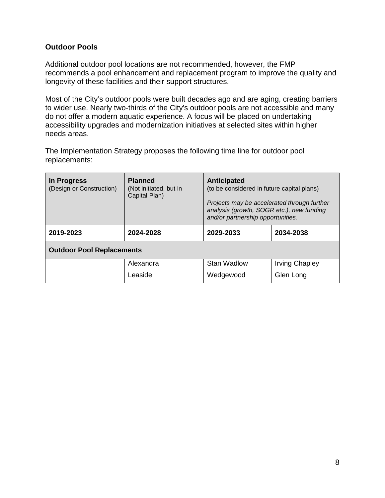## **Outdoor Pools**

Additional outdoor pool locations are not recommended, however, the FMP recommends a pool enhancement and replacement program to improve the quality and longevity of these facilities and their support structures.

Most of the City's outdoor pools were built decades ago and are aging, creating barriers to wider use. Nearly two-thirds of the City's outdoor pools are not accessible and many do not offer a modern aquatic experience. A focus will be placed on undertaking accessibility upgrades and modernization initiatives at selected sites within higher needs areas.

The Implementation Strategy proposes the following time line for outdoor pool replacements:

| In Progress<br>(Design or Construction) | <b>Planned</b><br>(Not initiated, but in<br>Capital Plan) | <b>Anticipated</b><br>(to be considered in future capital plans)<br>Projects may be accelerated through further<br>analysis (growth, SOGR etc.), new funding<br>and/or partnership opportunities. |                       |
|-----------------------------------------|-----------------------------------------------------------|---------------------------------------------------------------------------------------------------------------------------------------------------------------------------------------------------|-----------------------|
| 2019-2023                               | 2024-2028                                                 | 2029-2033                                                                                                                                                                                         | 2034-2038             |
| <b>Outdoor Pool Replacements</b>        |                                                           |                                                                                                                                                                                                   |                       |
|                                         | Alexandra                                                 | Stan Wadlow                                                                                                                                                                                       | <b>Irving Chapley</b> |
|                                         | Leaside                                                   | Wedgewood                                                                                                                                                                                         | Glen Long             |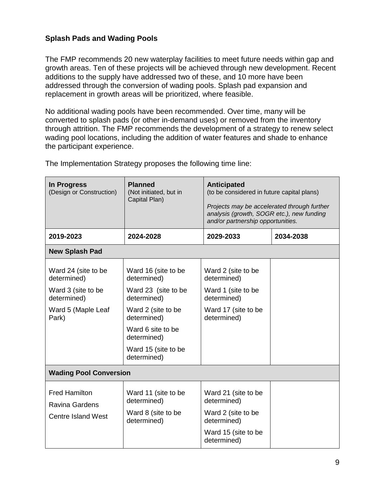# **Splash Pads and Wading Pools**

The FMP recommends 20 new waterplay facilities to meet future needs within gap and growth areas. Ten of these projects will be achieved through new development. Recent additions to the supply have addressed two of these, and 10 more have been addressed through the conversion of wading pools. Splash pad expansion and replacement in growth areas will be prioritized, where feasible.

No additional wading pools have been recommended. Over time, many will be converted to splash pads (or other in-demand uses) or removed from the inventory through attrition. The FMP recommends the development of a strategy to renew select wading pool locations, including the addition of water features and shade to enhance the participant experience.

| In Progress<br>(Design or Construction)       | <b>Planned</b><br>(Not initiated, but in<br>Capital Plan) | <b>Anticipated</b><br>(to be considered in future capital plans)<br>Projects may be accelerated through further<br>analysis (growth, SOGR etc.), new funding<br>and/or partnership opportunities. |           |
|-----------------------------------------------|-----------------------------------------------------------|---------------------------------------------------------------------------------------------------------------------------------------------------------------------------------------------------|-----------|
| 2019-2023                                     | 2024-2028                                                 | 2029-2033                                                                                                                                                                                         | 2034-2038 |
| <b>New Splash Pad</b>                         |                                                           |                                                                                                                                                                                                   |           |
| Ward 24 (site to be<br>determined)            | Ward 16 (site to be<br>determined)                        | Ward 2 (site to be<br>determined)                                                                                                                                                                 |           |
| Ward 3 (site to be<br>determined)             | Ward 23 (site to be<br>determined)                        | Ward 1 (site to be<br>determined)                                                                                                                                                                 |           |
| Ward 5 (Maple Leaf<br>Park)                   | Ward 2 (site to be<br>determined)                         | Ward 17 (site to be<br>determined)                                                                                                                                                                |           |
|                                               | Ward 6 site to be<br>determined)                          |                                                                                                                                                                                                   |           |
|                                               | Ward 15 (site to be<br>determined)                        |                                                                                                                                                                                                   |           |
| <b>Wading Pool Conversion</b>                 |                                                           |                                                                                                                                                                                                   |           |
| <b>Fred Hamilton</b><br><b>Ravina Gardens</b> | Ward 11 (site to be<br>determined)                        | Ward 21 (site to be<br>determined)                                                                                                                                                                |           |
| <b>Centre Island West</b>                     | Ward 8 (site to be<br>determined)                         | Ward 2 (site to be<br>determined)                                                                                                                                                                 |           |
|                                               |                                                           | Ward 15 (site to be<br>determined)                                                                                                                                                                |           |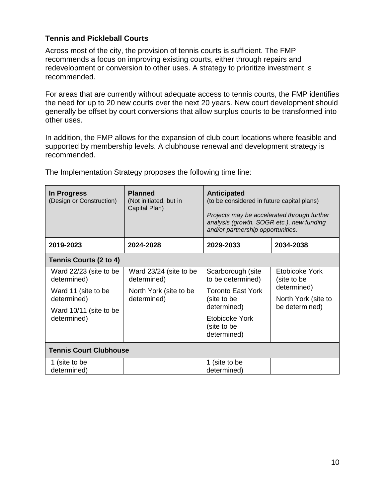## **Tennis and Pickleball Courts**

Across most of the city, the provision of tennis courts is sufficient. The FMP recommends a focus on improving existing courts, either through repairs and redevelopment or conversion to other uses. A strategy to prioritize investment is recommended.

For areas that are currently without adequate access to tennis courts, the FMP identifies the need for up to 20 new courts over the next 20 years. New court development should generally be offset by court conversions that allow surplus courts to be transformed into other uses.

In addition, the FMP allows for the expansion of club court locations where feasible and supported by membership levels. A clubhouse renewal and development strategy is recommended.

| In Progress<br>(Design or Construction)                                                                              | <b>Planned</b><br>(Not initiated, but in<br>Capital Plan)                      | <b>Anticipated</b><br>(to be considered in future capital plans)<br>Projects may be accelerated through further<br>analysis (growth, SOGR etc.), new funding<br>and/or partnership opportunities. |                                                                                       |
|----------------------------------------------------------------------------------------------------------------------|--------------------------------------------------------------------------------|---------------------------------------------------------------------------------------------------------------------------------------------------------------------------------------------------|---------------------------------------------------------------------------------------|
| 2019-2023                                                                                                            | 2024-2028                                                                      | 2029-2033                                                                                                                                                                                         | 2034-2038                                                                             |
| <b>Tennis Courts (2 to 4)</b>                                                                                        |                                                                                |                                                                                                                                                                                                   |                                                                                       |
| Ward 22/23 (site to be<br>determined)<br>Ward 11 (site to be<br>determined)<br>Ward 10/11 (site to be<br>determined) | Ward 23/24 (site to be<br>determined)<br>North York (site to be<br>determined) | Scarborough (site<br>to be determined)<br><b>Toronto East York</b><br>(site to be<br>determined)<br>Etobicoke York<br>(site to be<br>determined)                                                  | Etobicoke York<br>(site to be<br>determined)<br>North York (site to<br>be determined) |
| <b>Tennis Court Clubhouse</b>                                                                                        |                                                                                |                                                                                                                                                                                                   |                                                                                       |
| 1 (site to be<br>determined)                                                                                         |                                                                                | 1 (site to be<br>determined)                                                                                                                                                                      |                                                                                       |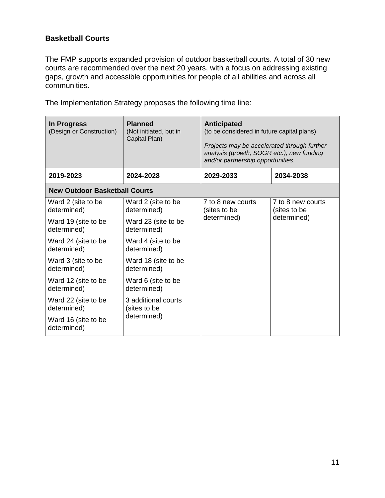# **Basketball Courts**

The FMP supports expanded provision of outdoor basketball courts. A total of 30 new courts are recommended over the next 20 years, with a focus on addressing existing gaps, growth and accessible opportunities for people of all abilities and across all communities.

| In Progress<br>(Design or Construction) | <b>Planned</b><br>(Not initiated, but in<br>Capital Plan) | <b>Anticipated</b><br>(to be considered in future capital plans)<br>Projects may be accelerated through further<br>analysis (growth, SOGR etc.), new funding<br>and/or partnership opportunities. |                                                  |
|-----------------------------------------|-----------------------------------------------------------|---------------------------------------------------------------------------------------------------------------------------------------------------------------------------------------------------|--------------------------------------------------|
| 2019-2023                               | 2024-2028                                                 | 2029-2033                                                                                                                                                                                         | 2034-2038                                        |
| <b>New Outdoor Basketball Courts</b>    |                                                           |                                                                                                                                                                                                   |                                                  |
| Ward 2 (site to be<br>determined)       | Ward 2 (site to be<br>determined)                         | 7 to 8 new courts<br>(sites to be<br>determined)                                                                                                                                                  | 7 to 8 new courts<br>(sites to be<br>determined) |
| Ward 19 (site to be<br>determined)      | Ward 23 (site to be<br>determined)                        |                                                                                                                                                                                                   |                                                  |
| Ward 24 (site to be<br>determined)      | Ward 4 (site to be<br>determined)                         |                                                                                                                                                                                                   |                                                  |
| Ward 3 (site to be<br>determined)       | Ward 18 (site to be<br>determined)                        |                                                                                                                                                                                                   |                                                  |
| Ward 12 (site to be<br>determined)      | Ward 6 (site to be<br>determined)                         |                                                                                                                                                                                                   |                                                  |
| Ward 22 (site to be<br>determined)      | 3 additional courts<br>(sites to be                       |                                                                                                                                                                                                   |                                                  |
| Ward 16 (site to be<br>determined)      | determined)                                               |                                                                                                                                                                                                   |                                                  |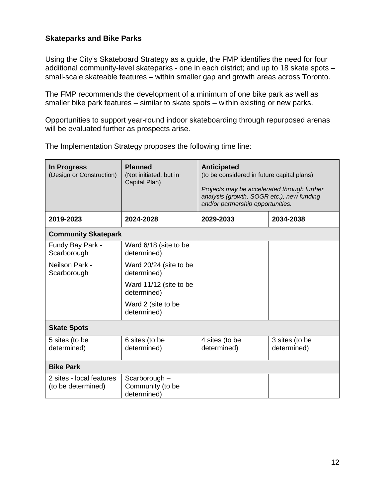## **Skateparks and Bike Parks**

Using the City's Skateboard Strategy as a guide, the FMP identifies the need for four additional community-level skateparks - one in each district; and up to 18 skate spots – small-scale skateable features – within smaller gap and growth areas across Toronto.

The FMP recommends the development of a minimum of one bike park as well as smaller bike park features – similar to skate spots – within existing or new parks.

Opportunities to support year-round indoor skateboarding through repurposed arenas will be evaluated further as prospects arise.

**In Progress** (Design or Construction) **Planned** (Not initiated, but in Capital Plan) **Anticipated** (to be considered in future capital plans) *Projects may be accelerated through further analysis (growth, SOGR etc.), new funding and/or partnership opportunities.* **2019-2023 2024-2028 2029-2033 2034-2038 Community Skatepark** Fundy Bay Park - **Scarborough** Neilson Park - **Scarborough** Ward 6/18 (site to be determined) Ward 20/24 (site to be determined) Ward 11/12 (site to be determined) Ward 2 (site to be determined)

| <b>Skate Spots</b>                             |                                                    |                               |                               |
|------------------------------------------------|----------------------------------------------------|-------------------------------|-------------------------------|
| 5 sites (to be<br>determined)                  | 6 sites (to be<br>determined)                      | 4 sites (to be<br>determined) | 3 sites (to be<br>determined) |
| <b>Bike Park</b>                               |                                                    |                               |                               |
| 2 sites - local features<br>(to be determined) | $Scarborough -$<br>Community (to be<br>determined) |                               |                               |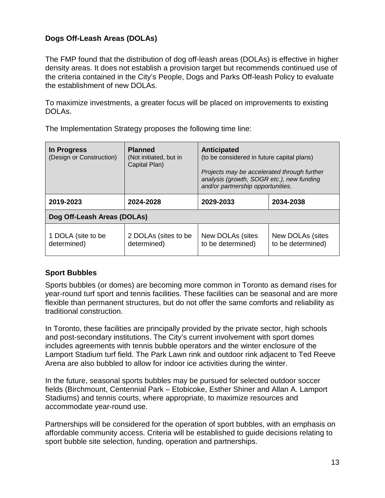# **Dogs Off-Leash Areas (DOLAs)**

The FMP found that the distribution of dog off-leash areas (DOLAs) is effective in higher density areas. It does not establish a provision target but recommends continued use of the criteria contained in the City's People, Dogs and Parks Off-leash Policy to evaluate the establishment of new DOLAs.

To maximize investments, a greater focus will be placed on improvements to existing DOLAs.

The Implementation Strategy proposes the following time line:

| In Progress<br>(Design or Construction) | <b>Planned</b><br>(Not initiated, but in<br>Capital Plan) | <b>Anticipated</b><br>(to be considered in future capital plans)<br>Projects may be accelerated through further<br>analysis (growth, SOGR etc.), new funding<br>and/or partnership opportunities. |                                       |
|-----------------------------------------|-----------------------------------------------------------|---------------------------------------------------------------------------------------------------------------------------------------------------------------------------------------------------|---------------------------------------|
| 2019-2023                               | 2024-2028                                                 | 2029-2033                                                                                                                                                                                         | 2034-2038                             |
| Dog Off-Leash Areas (DOLAs)             |                                                           |                                                                                                                                                                                                   |                                       |
| 1 DOLA (site to be<br>determined)       | 2 DOLAs (sites to be<br>determined)                       | New DOLAs (sites<br>to be determined)                                                                                                                                                             | New DOLAs (sites<br>to be determined) |

## **Sport Bubbles**

Sports bubbles (or domes) are becoming more common in Toronto as demand rises for year-round turf sport and tennis facilities. These facilities can be seasonal and are more flexible than permanent structures, but do not offer the same comforts and reliability as traditional construction.

In Toronto, these facilities are principally provided by the private sector, high schools and post-secondary institutions. The City's current involvement with sport domes includes agreements with tennis bubble operators and the winter enclosure of the Lamport Stadium turf field. The Park Lawn rink and outdoor rink adjacent to Ted Reeve Arena are also bubbled to allow for indoor ice activities during the winter.

In the future, seasonal sports bubbles may be pursued for selected outdoor soccer fields (Birchmount, Centennial Park – Etobicoke, Esther Shiner and Allan A. Lamport Stadiums) and tennis courts, where appropriate, to maximize resources and accommodate year-round use.

Partnerships will be considered for the operation of sport bubbles, with an emphasis on affordable community access. Criteria will be established to guide decisions relating to sport bubble site selection, funding, operation and partnerships.